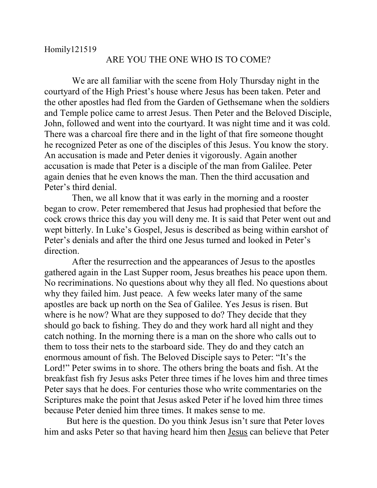## ARE YOU THE ONE WHO IS TO COME?

 We are all familiar with the scene from Holy Thursday night in the courtyard of the High Priest's house where Jesus has been taken. Peter and the other apostles had fled from the Garden of Gethsemane when the soldiers and Temple police came to arrest Jesus. Then Peter and the Beloved Disciple, John, followed and went into the courtyard. It was night time and it was cold. There was a charcoal fire there and in the light of that fire someone thought he recognized Peter as one of the disciples of this Jesus. You know the story. An accusation is made and Peter denies it vigorously. Again another accusation is made that Peter is a disciple of the man from Galilee. Peter again denies that he even knows the man. Then the third accusation and Peter's third denial.

 Then, we all know that it was early in the morning and a rooster began to crow. Peter remembered that Jesus had prophesied that before the cock crows thrice this day you will deny me. It is said that Peter went out and wept bitterly. In Luke's Gospel, Jesus is described as being within earshot of Peter's denials and after the third one Jesus turned and looked in Peter's direction.

 After the resurrection and the appearances of Jesus to the apostles gathered again in the Last Supper room, Jesus breathes his peace upon them. No recriminations. No questions about why they all fled. No questions about why they failed him. Just peace. A few weeks later many of the same apostles are back up north on the Sea of Galilee. Yes Jesus is risen. But where is he now? What are they supposed to do? They decide that they should go back to fishing. They do and they work hard all night and they catch nothing. In the morning there is a man on the shore who calls out to them to toss their nets to the starboard side. They do and they catch an enormous amount of fish. The Beloved Disciple says to Peter: "It's the Lord!" Peter swims in to shore. The others bring the boats and fish. At the breakfast fish fry Jesus asks Peter three times if he loves him and three times Peter says that he does. For centuries those who write commentaries on the Scriptures make the point that Jesus asked Peter if he loved him three times because Peter denied him three times. It makes sense to me.

But here is the question. Do you think Jesus isn't sure that Peter loves him and asks Peter so that having heard him then Jesus can believe that Peter